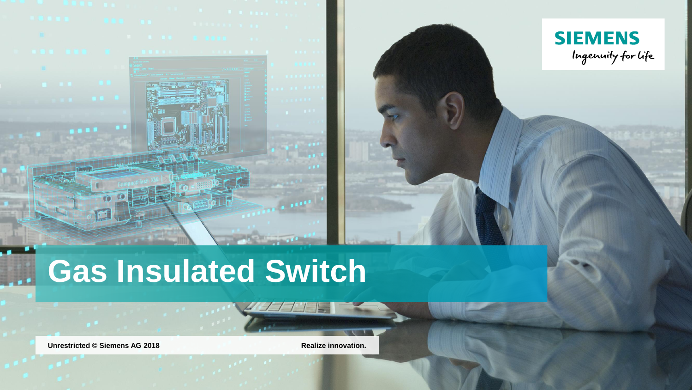

**Unrestricted** © Siemens AG 2018 **Realize** innovation.

**SIEMENS**<br>Ingenuity for Life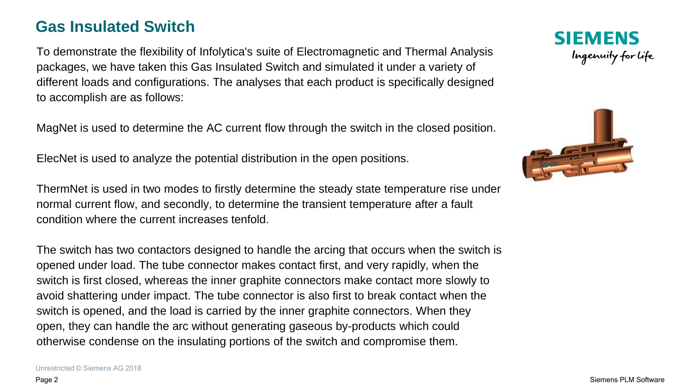#### **Gas Insulated Switch**

To demonstrate the flexibility of Infolytica's suite of Electromagnetic and Thermal Analysis packages, we have taken this Gas Insulated Switch and simulated it under a variety of different loads and configurations. The analyses that each product is specifically designed to accomplish are as follows:

MagNet is used to determine the AC current flow through the switch in the closed position.

ElecNet is used to analyze the potential distribution in the open positions.

ThermNet is used in two modes to firstly determine the steady state temperature rise under normal current flow, and secondly, to determine the transient temperature after a fault condition where the current increases tenfold.

The switch has two contactors designed to handle the arcing that occurs when the switch is opened under load. The tube connector makes contact first, and very rapidly, when the switch is first closed, whereas the inner graphite connectors make contact more slowly to avoid shattering under impact. The tube connector is also first to break contact when the switch is opened, and the load is carried by the inner graphite connectors. When they open, they can handle the arc without generating gaseous by-products which could otherwise condense on the insulating portions of the switch and compromise them.

**SIEMENS** Ingenuity for life

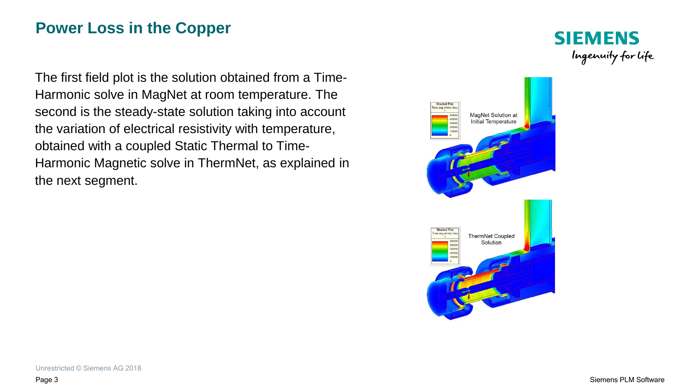# **Power Loss in the Copper**

The first field plot is the solution obtained from a Time-Harmonic solve in MagNet at room temperature. The second is the steady-state solution taking into account the variation of electrical resistivity with temperature, obtained with a coupled Static Thermal to Time-Harmonic Magnetic solve in ThermNet, as explained in the next segment.



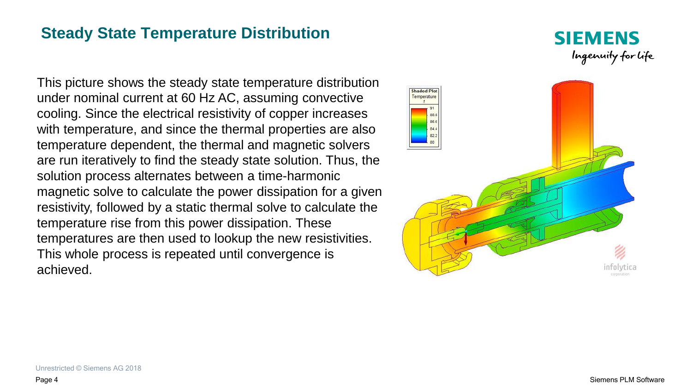# **Steady State Temperature Distribution**

This picture shows the steady state temperature distribution under nominal current at 60 Hz AC, assuming convective cooling. Since the electrical resistivity of copper increases with temperature, and since the thermal properties are also temperature dependent, the thermal and magnetic solvers are run iteratively to find the steady state solution. Thus, the solution process alternates between a time-harmonic magnetic solve to calculate the power dissipation for a given resistivity, followed by a static thermal solve to calculate the temperature rise from this power dissipation. These temperatures are then used to lookup the new resistivities. This whole process is repeated until convergence is achieved.



**SIEMENS** 

Ingenuity for life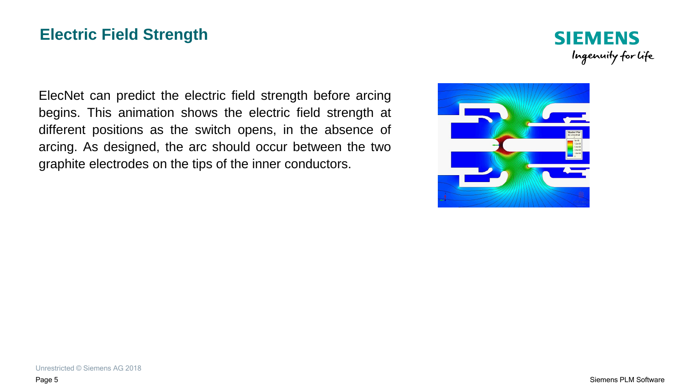# **Electric Field Strength**



ElecNet can predict the electric field strength before arcing begins. This animation shows the electric field strength at different positions as the switch opens, in the absence of arcing. As designed, the arc should occur between the two graphite electrodes on the tips of the inner conductors.

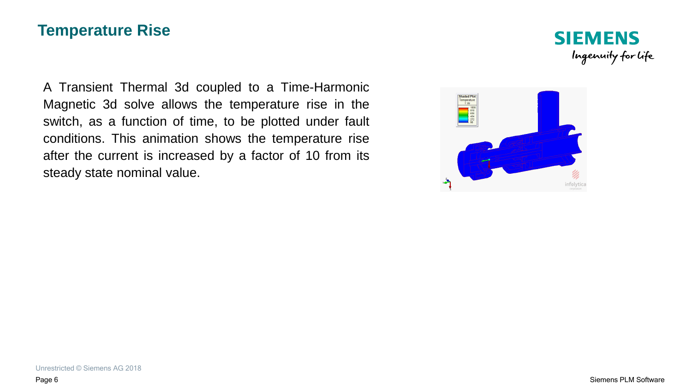#### **Temperature Rise**

A Transient Thermal 3d coupled to a Time-Harmonic Magnetic 3d solve allows the temperature rise in the switch, as a function of time, to be plotted under fault conditions. This animation shows the temperature rise after the current is increased by a factor of 10 from its steady state nominal value.